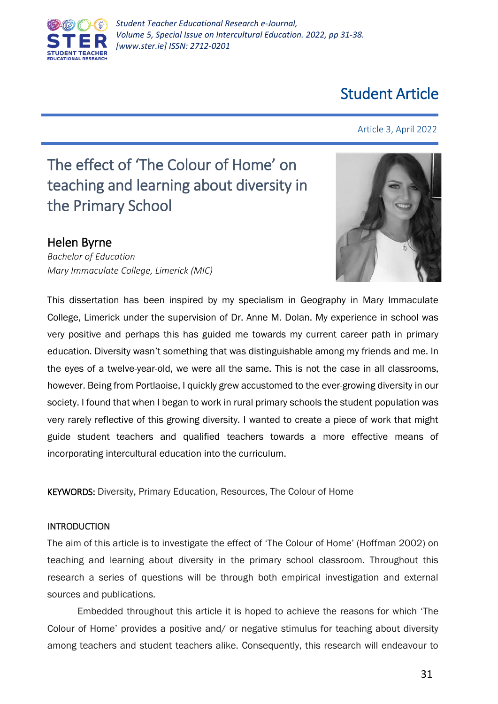

# Student Article

Article 3, April 2022

# The effect of 'The Colour of Home' on teaching and learning about diversity in the Primary School

# Helen Byrne

*Bachelor of Education Mary Immaculate College, Limerick (MIC)*



This dissertation has been inspired by my specialism in Geography in Mary Immaculate College, Limerick under the supervision of Dr. Anne M. Dolan. My experience in school was very positive and perhaps this has guided me towards my current career path in primary education. Diversity wasn't something that was distinguishable among my friends and me. In the eyes of a twelve-year-old, we were all the same. This is not the case in all classrooms, however. Being from Portlaoise, I quickly grew accustomed to the ever-growing diversity in our society. I found that when I began to work in rural primary schools the student population was very rarely reflective of this growing diversity. I wanted to create a piece of work that might guide student teachers and qualified teachers towards a more effective means of incorporating intercultural education into the curriculum.

KEYWORDS: Diversity, Primary Education, Resources, The Colour of Home

## INTRODUCTION

The aim of this article is to investigate the effect of 'The Colour of Home' (Hoffman 2002) on teaching and learning about diversity in the primary school classroom. Throughout this research a series of questions will be through both empirical investigation and external sources and publications.

Embedded throughout this article it is hoped to achieve the reasons for which 'The Colour of Home' provides a positive and/ or negative stimulus for teaching about diversity among teachers and student teachers alike. Consequently, this research will endeavour to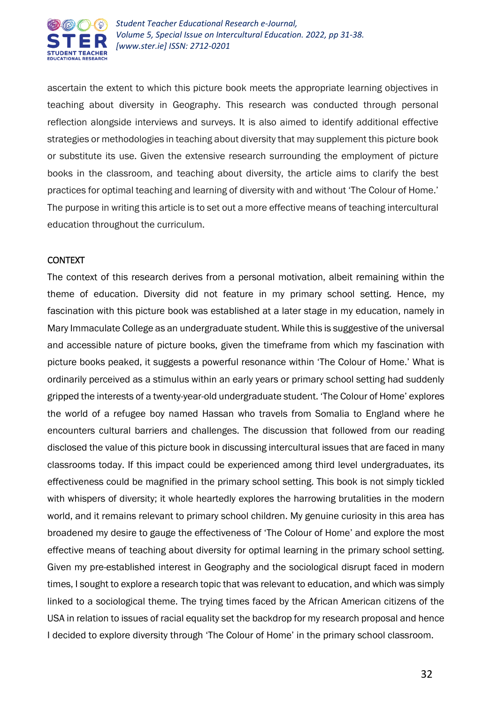

ascertain the extent to which this picture book meets the appropriate learning objectives in teaching about diversity in Geography. This research was conducted through personal reflection alongside interviews and surveys. It is also aimed to identify additional effective strategies or methodologies in teaching about diversity that may supplement this picture book or substitute its use. Given the extensive research surrounding the employment of picture books in the classroom, and teaching about diversity, the article aims to clarify the best practices for optimal teaching and learning of diversity with and without 'The Colour of Home.' The purpose in writing this article is to set out a more effective means of teaching intercultural education throughout the curriculum.

#### CONTEXT

The context of this research derives from a personal motivation, albeit remaining within the theme of education. Diversity did not feature in my primary school setting. Hence, my fascination with this picture book was established at a later stage in my education, namely in Mary Immaculate College as an undergraduate student. While this is suggestive of the universal and accessible nature of picture books, given the timeframe from which my fascination with picture books peaked, it suggests a powerful resonance within 'The Colour of Home.' What is ordinarily perceived as a stimulus within an early years or primary school setting had suddenly gripped the interests of a twenty-year-old undergraduate student. 'The Colour of Home' explores the world of a refugee boy named Hassan who travels from Somalia to England where he encounters cultural barriers and challenges. The discussion that followed from our reading disclosed the value of this picture book in discussing intercultural issues that are faced in many classrooms today. If this impact could be experienced among third level undergraduates, its effectiveness could be magnified in the primary school setting. This book is not simply tickled with whispers of diversity; it whole heartedly explores the harrowing brutalities in the modern world, and it remains relevant to primary school children. My genuine curiosity in this area has broadened my desire to gauge the effectiveness of 'The Colour of Home' and explore the most effective means of teaching about diversity for optimal learning in the primary school setting. Given my pre-established interest in Geography and the sociological disrupt faced in modern times, I sought to explore a research topic that was relevant to education, and which was simply linked to a sociological theme. The trying times faced by the African American citizens of the USA in relation to issues of racial equality set the backdrop for my research proposal and hence I decided to explore diversity through 'The Colour of Home' in the primary school classroom.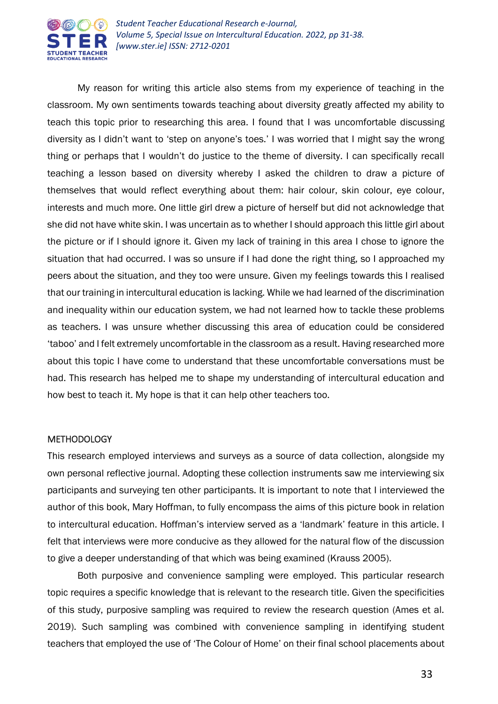

My reason for writing this article also stems from my experience of teaching in the classroom. My own sentiments towards teaching about diversity greatly affected my ability to teach this topic prior to researching this area. I found that I was uncomfortable discussing diversity as I didn't want to 'step on anyone's toes.' I was worried that I might say the wrong thing or perhaps that I wouldn't do justice to the theme of diversity. I can specifically recall teaching a lesson based on diversity whereby I asked the children to draw a picture of themselves that would reflect everything about them: hair colour, skin colour, eye colour, interests and much more. One little girl drew a picture of herself but did not acknowledge that she did not have white skin. I was uncertain as to whether I should approach this little girl about the picture or if I should ignore it. Given my lack of training in this area I chose to ignore the situation that had occurred. I was so unsure if I had done the right thing, so I approached my peers about the situation, and they too were unsure. Given my feelings towards this I realised that our training in intercultural education is lacking. While we had learned of the discrimination and inequality within our education system, we had not learned how to tackle these problems as teachers. I was unsure whether discussing this area of education could be considered 'taboo' and I felt extremely uncomfortable in the classroom as a result. Having researched more about this topic I have come to understand that these uncomfortable conversations must be had. This research has helped me to shape my understanding of intercultural education and how best to teach it. My hope is that it can help other teachers too.

#### **METHODOLOGY**

This research employed interviews and surveys as a source of data collection, alongside my own personal reflective journal. Adopting these collection instruments saw me interviewing six participants and surveying ten other participants. It is important to note that I interviewed the author of this book, Mary Hoffman, to fully encompass the aims of this picture book in relation to intercultural education. Hoffman's interview served as a 'landmark' feature in this article. I felt that interviews were more conducive as they allowed for the natural flow of the discussion to give a deeper understanding of that which was being examined (Krauss 2005).

Both purposive and convenience sampling were employed. This particular research topic requires a specific knowledge that is relevant to the research title. Given the specificities of this study, purposive sampling was required to review the research question (Ames et al. 2019). Such sampling was combined with convenience sampling in identifying student teachers that employed the use of 'The Colour of Home' on their final school placements about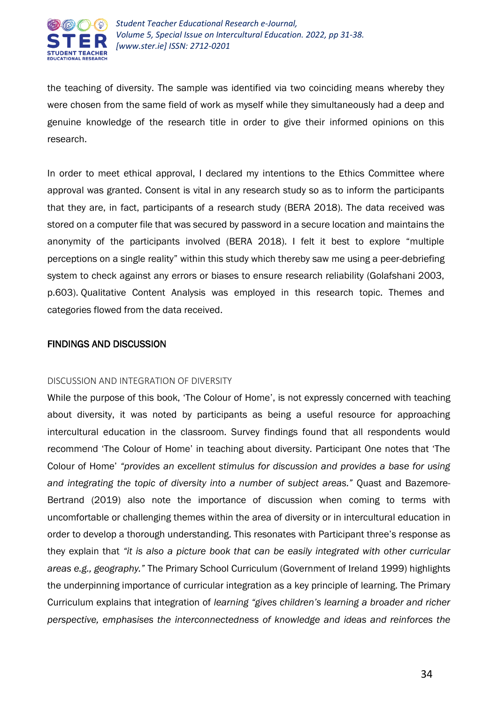

the teaching of diversity. The sample was identified via two coinciding means whereby they were chosen from the same field of work as myself while they simultaneously had a deep and genuine knowledge of the research title in order to give their informed opinions on this research.

In order to meet ethical approval, I declared my intentions to the Ethics Committee where approval was granted. Consent is vital in any research study so as to inform the participants that they are, in fact, participants of a research study (BERA 2018). The data received was stored on a computer file that was secured by password in a secure location and maintains the anonymity of the participants involved (BERA 2018). I felt it best to explore "multiple perceptions on a single reality" within this study which thereby saw me using a peer-debriefing system to check against any errors or biases to ensure research reliability (Golafshani 2003, p.603). Qualitative Content Analysis was employed in this research topic. Themes and categories flowed from the data received.

## FINDINGS AND DISCUSSION

#### DISCUSSION AND INTEGRATION OF DIVERSITY

While the purpose of this book, 'The Colour of Home', is not expressly concerned with teaching about diversity, it was noted by participants as being a useful resource for approaching intercultural education in the classroom. Survey findings found that all respondents would recommend 'The Colour of Home' in teaching about diversity. Participant One notes that 'The Colour of Home' *"provides an excellent stimulus for discussion and provides a base for using and integrating the topic of diversity into a number of subject areas."* Quast and Bazemore-Bertrand (2019) also note the importance of discussion when coming to terms with uncomfortable or challenging themes within the area of diversity or in intercultural education in order to develop a thorough understanding. This resonates with Participant three's response as they explain that *"it is also a picture book that can be easily integrated with other curricular areas e.g., geography."* The Primary School Curriculum (Government of Ireland 1999) highlights the underpinning importance of curricular integration as a key principle of learning. The Primary Curriculum explains that integration of *learning "gives children's learning a broader and richer perspective, emphasises the interconnectedness of knowledge and ideas and reinforces the*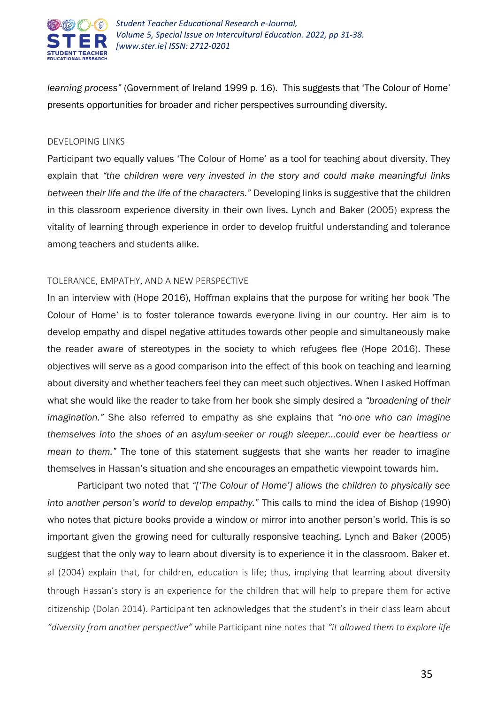

*learning process"* (Government of Ireland 1999 p. 16). This suggests that 'The Colour of Home' presents opportunities for broader and richer perspectives surrounding diversity.

#### DEVELOPING LINKS

Participant two equally values 'The Colour of Home' as a tool for teaching about diversity. They explain that *"the children were very invested in the story and could make meaningful links between their life and the life of the characters."* Developing links is suggestive that the children in this classroom experience diversity in their own lives. Lynch and Baker (2005) express the vitality of learning through experience in order to develop fruitful understanding and tolerance among teachers and students alike.

#### TOLERANCE, EMPATHY, AND A NEW PERSPECTIVE

In an interview with (Hope 2016), Hoffman explains that the purpose for writing her book 'The Colour of Home' is to foster tolerance towards everyone living in our country. Her aim is to develop empathy and dispel negative attitudes towards other people and simultaneously make the reader aware of stereotypes in the society to which refugees flee (Hope 2016). These objectives will serve as a good comparison into the effect of this book on teaching and learning about diversity and whether teachers feel they can meet such objectives. When I asked Hoffman what she would like the reader to take from her book she simply desired a *"broadening of their imagination."* She also referred to empathy as she explains that *"no-one who can imagine themselves into the shoes of an asylum-seeker or rough sleeper…could ever be heartless or mean to them."* The tone of this statement suggests that she wants her reader to imagine themselves in Hassan's situation and she encourages an empathetic viewpoint towards him.

Participant two noted that *"['The Colour of Home'] allows the children to physically see into another person's world to develop empathy."* This calls to mind the idea of Bishop (1990) who notes that picture books provide a window or mirror into another person's world. This is so important given the growing need for culturally responsive teaching. Lynch and Baker (2005) suggest that the only way to learn about diversity is to experience it in the classroom. Baker et. al (2004) explain that, for children, education is life; thus, implying that learning about diversity through Hassan's story is an experience for the children that will help to prepare them for active citizenship (Dolan 2014). Participant ten acknowledges that the student's in their class learn about *"diversity from another perspective"* while Participant nine notes that *"it allowed them to explore life*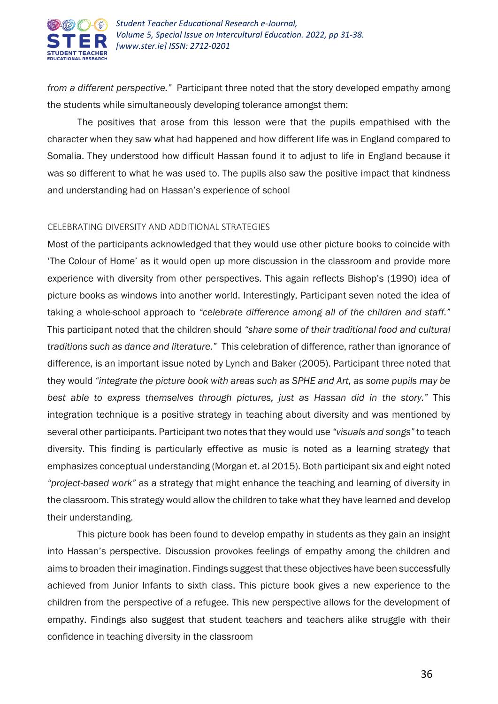

*from a different perspective."* Participant three noted that the story developed empathy among the students while simultaneously developing tolerance amongst them:

The positives that arose from this lesson were that the pupils empathised with the character when they saw what had happened and how different life was in England compared to Somalia. They understood how difficult Hassan found it to adjust to life in England because it was so different to what he was used to. The pupils also saw the positive impact that kindness and understanding had on Hassan's experience of school

#### CELEBRATING DIVERSITY AND ADDITIONAL STRATEGIES

Most of the participants acknowledged that they would use other picture books to coincide with 'The Colour of Home' as it would open up more discussion in the classroom and provide more experience with diversity from other perspectives. This again reflects Bishop's (1990) idea of picture books as windows into another world. Interestingly, Participant seven noted the idea of taking a whole-school approach to *"celebrate difference among all of the children and staff."* This participant noted that the children should *"share some of their traditional food and cultural traditions such as dance and literature."* This celebration of difference, rather than ignorance of difference, is an important issue noted by Lynch and Baker (2005). Participant three noted that they would *"integrate the picture book with areas such as SPHE and Art, as some pupils may be best able to express themselves through pictures, just as Hassan did in the story."* This integration technique is a positive strategy in teaching about diversity and was mentioned by several other participants. Participant two notes that they would use *"visuals and songs"* to teach diversity. This finding is particularly effective as music is noted as a learning strategy that emphasizes conceptual understanding (Morgan et. al 2015). Both participant six and eight noted *"project-based work"* as a strategy that might enhance the teaching and learning of diversity in the classroom. This strategy would allow the children to take what they have learned and develop their understanding.

This picture book has been found to develop empathy in students as they gain an insight into Hassan's perspective. Discussion provokes feelings of empathy among the children and aims to broaden their imagination. Findings suggest that these objectives have been successfully achieved from Junior Infants to sixth class. This picture book gives a new experience to the children from the perspective of a refugee. This new perspective allows for the development of empathy. Findings also suggest that student teachers and teachers alike struggle with their confidence in teaching diversity in the classroom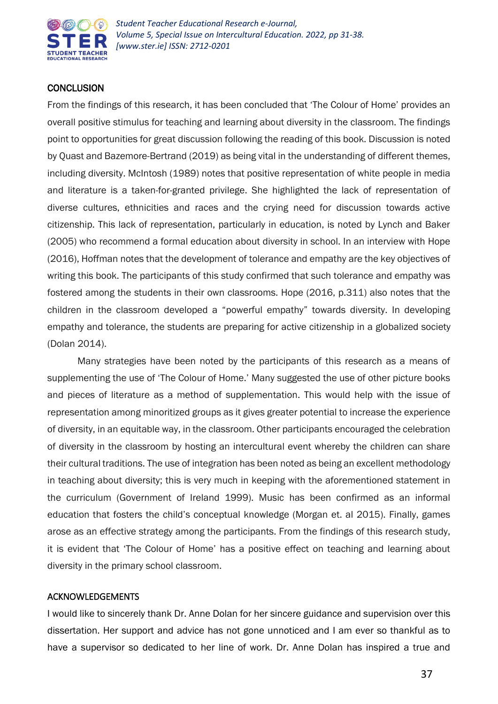

# **CONCLUSION**

From the findings of this research, it has been concluded that 'The Colour of Home' provides an overall positive stimulus for teaching and learning about diversity in the classroom. The findings point to opportunities for great discussion following the reading of this book. Discussion is noted by Quast and Bazemore-Bertrand (2019) as being vital in the understanding of different themes, including diversity. McIntosh (1989) notes that positive representation of white people in media and literature is a taken-for-granted privilege. She highlighted the lack of representation of diverse cultures, ethnicities and races and the crying need for discussion towards active citizenship. This lack of representation, particularly in education, is noted by Lynch and Baker (2005) who recommend a formal education about diversity in school. In an interview with Hope (2016), Hoffman notes that the development of tolerance and empathy are the key objectives of writing this book. The participants of this study confirmed that such tolerance and empathy was fostered among the students in their own classrooms. Hope (2016, p.311) also notes that the children in the classroom developed a "powerful empathy" towards diversity. In developing empathy and tolerance, the students are preparing for active citizenship in a globalized society (Dolan 2014).

Many strategies have been noted by the participants of this research as a means of supplementing the use of 'The Colour of Home.' Many suggested the use of other picture books and pieces of literature as a method of supplementation. This would help with the issue of representation among minoritized groups as it gives greater potential to increase the experience of diversity, in an equitable way, in the classroom. Other participants encouraged the celebration of diversity in the classroom by hosting an intercultural event whereby the children can share their cultural traditions. The use of integration has been noted as being an excellent methodology in teaching about diversity; this is very much in keeping with the aforementioned statement in the curriculum (Government of Ireland 1999). Music has been confirmed as an informal education that fosters the child's conceptual knowledge (Morgan et. al 2015). Finally, games arose as an effective strategy among the participants. From the findings of this research study, it is evident that 'The Colour of Home' has a positive effect on teaching and learning about diversity in the primary school classroom.

## ACKNOWLEDGEMENTS

I would like to sincerely thank Dr. Anne Dolan for her sincere guidance and supervision over this dissertation. Her support and advice has not gone unnoticed and I am ever so thankful as to have a supervisor so dedicated to her line of work. Dr. Anne Dolan has inspired a true and